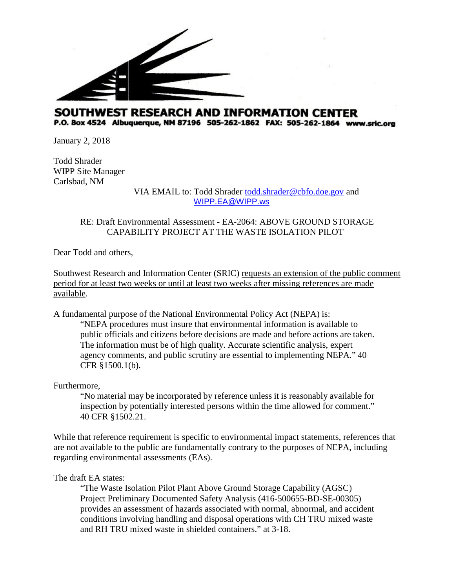

## SOUTHWEST RESEARCH AND INFORMATION CENTER P.O. Box 4524 Albuquerque, NM 87196 505-262-1862 FAX: 505-262-1864 www.sric.org

January 2, 2018

Todd Shrader WIPP Site Manager Carlsbad, NM

VIA EMAIL to: Todd Shrader [todd.shrader@cbfo.doe.gov](mailto:todd.shrader@cbfo.doe.gov) and [WIPP.EA@WIPP.ws](mailto:WIPP.EA@WIPP.ws)

## RE: Draft Environmental Assessment - EA‐2064: ABOVE GROUND STORAGE CAPABILITY PROJECT AT THE WASTE ISOLATION PILOT

Dear Todd and others,

Southwest Research and Information Center (SRIC) requests an extension of the public comment period for at least two weeks or until at least two weeks after missing references are made available.

A fundamental purpose of the National Environmental Policy Act (NEPA) is:

"NEPA procedures must insure that environmental information is available to public officials and citizens before decisions are made and before actions are taken. The information must be of high quality. Accurate scientific analysis, expert agency comments, and public scrutiny are essential to implementing NEPA." 40 CFR §1500.1(b).

Furthermore,

"No material may be incorporated by reference unless it is reasonably available for inspection by potentially interested persons within the time allowed for comment." 40 CFR §1502.21.

While that reference requirement is specific to environmental impact statements, references that are not available to the public are fundamentally contrary to the purposes of NEPA, including regarding environmental assessments (EAs).

## The draft EA states:

"The Waste Isolation Pilot Plant Above Ground Storage Capability (AGSC) Project Preliminary Documented Safety Analysis (416-500655-BD-SE-00305) provides an assessment of hazards associated with normal, abnormal, and accident conditions involving handling and disposal operations with CH TRU mixed waste and RH TRU mixed waste in shielded containers." at 3-18.